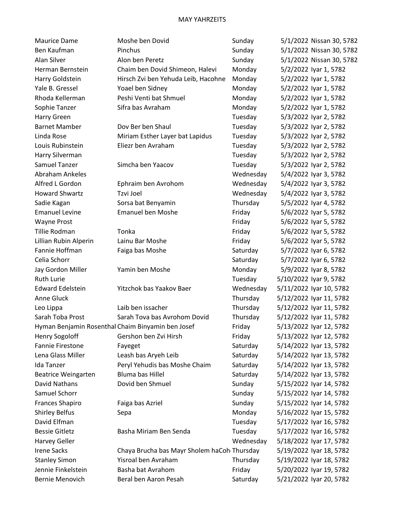| Maurice Dame                                      | Moshe ben Dovid                             | Sunday    | 5/1/2022 Nissan 30, 5782 |
|---------------------------------------------------|---------------------------------------------|-----------|--------------------------|
| Ben Kaufman                                       | Pinchus                                     | Sunday    | 5/1/2022 Nissan 30, 5782 |
| Alan Silver                                       | Alon ben Peretz                             | Sunday    | 5/1/2022 Nissan 30, 5782 |
| Herman Bernstein                                  | Chaim ben Dovid Shimeon, Halevi             | Monday    | 5/2/2022 Iyar 1, 5782    |
| Harry Goldstein                                   | Hirsch Zvi ben Yehuda Leib, Hacohne         | Monday    | 5/2/2022 Iyar 1, 5782    |
| Yale B. Gressel                                   | Yoael ben Sidney                            | Monday    | 5/2/2022 Iyar 1, 5782    |
| Rhoda Kellerman                                   | Peshi Venti bat Shmuel                      | Monday    | 5/2/2022 Iyar 1, 5782    |
| Sophie Tanzer                                     | Sifra bas Avraham                           | Monday    | 5/2/2022 Iyar 1, 5782    |
| Harry Green                                       |                                             | Tuesday   | 5/3/2022 Iyar 2, 5782    |
| <b>Barnet Mamber</b>                              | Dov Ber ben Shaul                           | Tuesday   | 5/3/2022 Iyar 2, 5782    |
| Linda Rose                                        | Miriam Esther Layer bat Lapidus             | Tuesday   | 5/3/2022 Iyar 2, 5782    |
| Louis Rubinstein                                  | Eliezr ben Avraham                          | Tuesday   | 5/3/2022 Iyar 2, 5782    |
| Harry Silverman                                   |                                             | Tuesday   | 5/3/2022 Iyar 2, 5782    |
| Samuel Tanzer                                     | Simcha ben Yaacov                           | Tuesday   | 5/3/2022 Iyar 2, 5782    |
| Abraham Ankeles                                   |                                             | Wednesday | 5/4/2022 Iyar 3, 5782    |
| Alfred L Gordon                                   | Ephraim ben Avrohom                         | Wednesday | 5/4/2022 Iyar 3, 5782    |
| <b>Howard Shwartz</b>                             | Tzvi Joel                                   | Wednesday | 5/4/2022 Iyar 3, 5782    |
| Sadie Kagan                                       | Sorsa bat Benyamin                          | Thursday  | 5/5/2022 Iyar 4, 5782    |
| <b>Emanuel Levine</b>                             | <b>Emanuel ben Moshe</b>                    | Friday    | 5/6/2022 Iyar 5, 5782    |
| Wayne Prost                                       |                                             | Friday    | 5/6/2022 Iyar 5, 5782    |
| Tillie Rodman                                     | Tonka                                       | Friday    | 5/6/2022 Iyar 5, 5782    |
| Lillian Rubin Alperin                             | Lainu Bar Moshe                             | Friday    | 5/6/2022 Iyar 5, 5782    |
| Fannie Hoffman                                    | Faiga bas Moshe                             | Saturday  | 5/7/2022 Iyar 6, 5782    |
| Celia Schorr                                      |                                             | Saturday  | 5/7/2022 Iyar 6, 5782    |
| Jay Gordon Miller                                 | Yamin ben Moshe                             | Monday    | 5/9/2022 Iyar 8, 5782    |
| <b>Ruth Lurie</b>                                 |                                             | Tuesday   | 5/10/2022 Iyar 9, 5782   |
| <b>Edward Edelstein</b>                           | Yitzchok bas Yaakov Baer                    | Wednesday | 5/11/2022 Iyar 10, 5782  |
| Anne Gluck                                        |                                             | Thursday  | 5/12/2022 Iyar 11, 5782  |
| Leo Lippa                                         | Laib ben issacher                           | Thursday  | 5/12/2022 Iyar 11, 5782  |
| Sarah Toba Prost                                  | Sarah Tova bas Avrohom Dovid                | Thursday  | 5/12/2022 Iyar 11, 5782  |
| Hyman Benjamin Rosenthal Chaim Binyamin ben Josef |                                             | Friday    | 5/13/2022 Iyar 12, 5782  |
| <b>Henry Sogoloff</b>                             | Gershon ben Zvi Hirsh                       | Friday    | 5/13/2022 Iyar 12, 5782  |
| Fannie Firestone                                  | Fayeget                                     | Saturday  | 5/14/2022 Iyar 13, 5782  |
| Lena Glass Miller                                 | Leash bas Aryeh Leib                        | Saturday  | 5/14/2022 Iyar 13, 5782  |
| Ida Tanzer                                        | Peryl Yehudis bas Moshe Chaim               | Saturday  | 5/14/2022 Iyar 13, 5782  |
| <b>Beatrice Weingarten</b>                        | <b>Bluma bas Hillel</b>                     | Saturday  | 5/14/2022 Iyar 13, 5782  |
| David Nathans                                     | Dovid ben Shmuel                            | Sunday    | 5/15/2022 Iyar 14, 5782  |
| Samuel Schorr                                     |                                             | Sunday    | 5/15/2022 Iyar 14, 5782  |
| Frances Shapiro                                   | Faiga bas Azriel                            | Sunday    | 5/15/2022 Iyar 14, 5782  |
| Shirley Belfus                                    | Sepa                                        | Monday    | 5/16/2022 Iyar 15, 5782  |
| David Elfman                                      |                                             | Tuesday   | 5/17/2022 Iyar 16, 5782  |
| <b>Bessie Gitletz</b>                             | Basha Miriam Ben Senda                      | Tuesday   | 5/17/2022 Iyar 16, 5782  |
| Harvey Geller                                     |                                             | Wednesday | 5/18/2022 Iyar 17, 5782  |
| <b>Irene Sacks</b>                                | Chaya Brucha bas Mayr Sholem haCoh Thursday |           | 5/19/2022 Iyar 18, 5782  |
| <b>Stanley Simon</b>                              | Yisroal ben Avraham                         | Thursday  | 5/19/2022 Iyar 18, 5782  |
| Jennie Finkelstein                                | Basha bat Avrahom                           | Friday    | 5/20/2022 Iyar 19, 5782  |
| Bernie Menovich                                   | Beral ben Aaron Pesah                       | Saturday  | 5/21/2022 Iyar 20, 5782  |
|                                                   |                                             |           |                          |